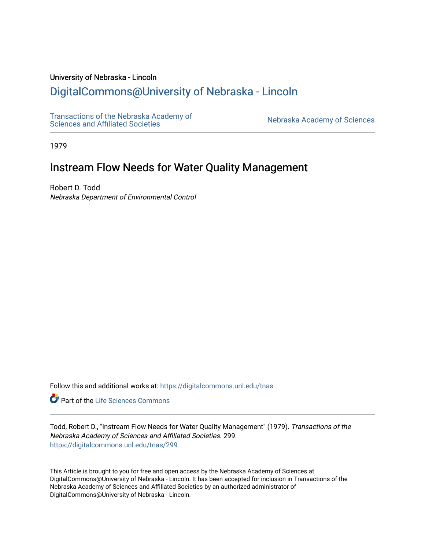### University of Nebraska - Lincoln

# [DigitalCommons@University of Nebraska - Lincoln](https://digitalcommons.unl.edu/)

[Transactions of the Nebraska Academy of](https://digitalcommons.unl.edu/tnas)  Transactions of the Nebraska Academy of Sciences<br>Sciences and Affiliated Societies

1979

# Instream Flow Needs for Water Quality Management

Robert D. Todd Nebraska Department of Environmental Control

Follow this and additional works at: [https://digitalcommons.unl.edu/tnas](https://digitalcommons.unl.edu/tnas?utm_source=digitalcommons.unl.edu%2Ftnas%2F299&utm_medium=PDF&utm_campaign=PDFCoverPages) 

Part of the [Life Sciences Commons](http://network.bepress.com/hgg/discipline/1016?utm_source=digitalcommons.unl.edu%2Ftnas%2F299&utm_medium=PDF&utm_campaign=PDFCoverPages) 

Todd, Robert D., "Instream Flow Needs for Water Quality Management" (1979). Transactions of the Nebraska Academy of Sciences and Affiliated Societies. 299. [https://digitalcommons.unl.edu/tnas/299](https://digitalcommons.unl.edu/tnas/299?utm_source=digitalcommons.unl.edu%2Ftnas%2F299&utm_medium=PDF&utm_campaign=PDFCoverPages) 

This Article is brought to you for free and open access by the Nebraska Academy of Sciences at DigitalCommons@University of Nebraska - Lincoln. It has been accepted for inclusion in Transactions of the Nebraska Academy of Sciences and Affiliated Societies by an authorized administrator of DigitalCommons@University of Nebraska - Lincoln.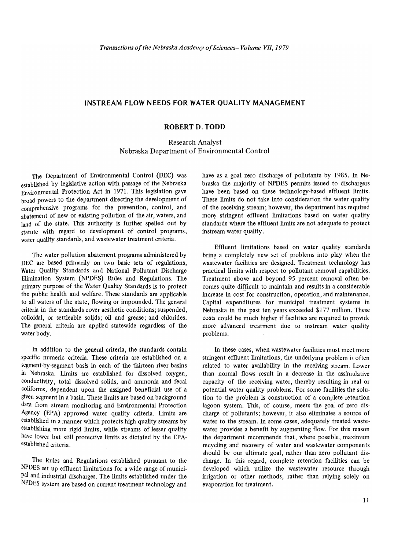### **INSTREAM FLOW NEEDS FOR WATER QUALITY MANAGEMENT**

### **ROBERT D. TODD**

Research Analyst Nebraska Department of Environmental Control

The Department of Environmental Control (DEC) was established by legislative action with passage of the Nebraska Environmental Protection Act in 1971. This legislation gave broad powers to the department directing the development of comprehensive programs for the prevention, control, and abatement of new or existing pollution of the air, waters, and land of the state. This authority is further spelled out by statute with regard to development of control programs, water quality standards, and wastewater treatment criteria.

The water pollution abatement programs administered by DEC are based primarily on two basic sets of regulations, Water Quality Standards and National Pollutant Discharge Elimination System (NPDES) Rules and Regulations. The primary purpose of the Water Quality Standards is to protect the public health and welfare. These standards are applicable to all waters of the state, flowing or impounded. The general criteria in the standards cover aesthetic conditions; suspended, colloidal, or settleable solids; oil and grease; and chlorides. The general criteria are applied statewide regardless of the water body.

In addition to the general criteria, the standards contain specific numeric criteria. These criteria are established on a segment-by-segment basis in each of the thirteen river basins in Nebraska. limits are established for dissolved oxygen, conductivity, total dissolved solids, and ammonia and fecal coliforms, dependent upon the assigned beneficial use of a given segment in a basin. These limits are based on background data from stream monitoring and Environmental Protection Agency (EPA) approved water quality criteria. Limits are established in a manner which protects high quality streams by establishing more rigid limits, while streams of lesser quality have lower but still protective limits as dictated by the EPAestablished criteria.

The Rules and Regulations established pursuant to the NPDES set up effluent limitations for a wide range of municipal and industrial discharges. The limits established under the NPDES system are based on current treatment technology and

have as a goal zero discharge of pollutants by 1985. In Nebraska the majority of NPDES permits issued to dischargers have been based on these technology-based effluent limits. These limits do not take into consideration the water quality of the receiving stream; however, the department has required more stringent effluent limitations based on water quality standards where the effluent limits are not adequate to protect instream water quality.

Effluent limitations based on water quality standards bring a completely new set of problems into play when the wastewater facilities are designed. Treatment technology has practical limits with respect to pollutant removal capabilities. Treatment above and beyond 95 percent removal often becomes quite difficult to maintain and results in a considerable increase in cost for construction, operation, and maintenance. Capital expenditures for municipal treatment systems in Nebraska in the past ten years exceeded \$177 million. These costs could be much higher if facilities are required to provide more advanced treatment due to instream water quality problems.

In these cases, when wastewater facilities must meet more stringent effluent limitations, the underlying problem is often related to water availability in the receiving stream. Lower than normal flows result in a decrease in the assimulative capacity of the receiving water, thereby resulting in real or potential water quality problems. For some facilities the solution to the problem is construction of a complete retention lagoon system. This, of course, meets the goal of zero discharge of pollutants; however, it also eliminates a source of water to the stream. In some cases, adequately treated wastewater provides a benefit by augmenting flow. For this reason the department recommends that, where possible, maximum recycling and recovery of water and wastewater components should be our ultimate goal, rather than zero pollutant discharge. In this regard, complete retention facilities can be developed which utilize the wastewater resource through irrigation or other methods, rather than relying solely on evaporation for treatment.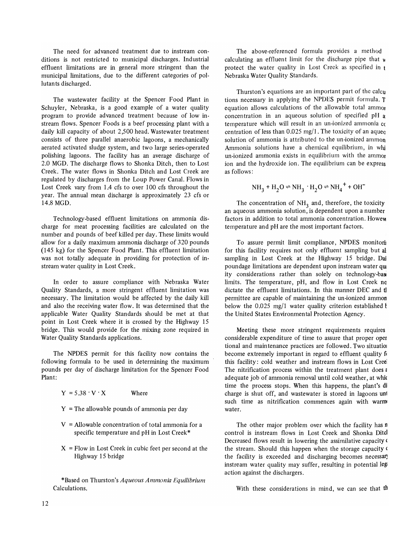The need for advanced treatment due to instream conditions is not restricted to municipal discharges. Industrial effluent limitations are in general more stringent than the municipal limitations, due to the different categories of pollutants discharged.

The wastewater facility at the Spencer Food Plant in Schuyler, Nebraska, is a good example of a water quality program to provide advanced treatment because of low in· stream flows. Spencer Foods is a beef processing plant with a daily kill capacity of about 2,500 head. Wastewater treatment consists of three parallel anaerobic lagoons, a mechanically aerated activated sludge system, and two large series-operated polishing lagoons. The facility has an average discharge of 2.0 MGD. The discharge flows to Shonka Ditch, then to Lost Creek. The water flows in Shonka Ditch and Lost Creek are regulated by discharges from the Loup Power Canal. Flows in Lost Creek vary from 1.4 cfs to over 100 cfs throughout the year. The annual mean discharge is approximately 23 cfs or 14.8 MGD.

Technology-based effluent limitations on ammonia discharge for meat processing facilities are calculated on the number and pounds of beef killed per day. These limits would allow for a daily maximum ammonia discharge of 320 pounds (145 kg) for the Spencer Food Plant. This effluent limitation was not totally adequate in providing for protection of instream water quality in Lost Creek.

In order to assure compliance with Nebraska Water Quality Standards, a more stringent effluent limitation was necessary. The limitation would be affected by the daily kill and also the receiving water flow. It was determined that the applicable Water Quality Standards should be met at that point in Lost Creek where it is crossed by the Highway 15 bridge. This would provide for the mixing zone required in Water Quality Standards applications.

The NPDES permit for this facility now contains the following formula to be used in determining the maximum pounds per day of discharge limitation for the Spencer Food Plant:

 $Y = 5.38 \cdot V \cdot X$  Where

- $Y =$ The allowable pounds of ammonia per day
- $V =$  Allowable concentration of total ammonia for a specific temperature and pH in Lost Creek\*
- $X =$  Flow in Lost Creek in cubic feet per second at the Highway 15 bridge

\*Based on Thurston's *Aqueous Amnwnia Equilibrium*  Calculations.

The above-referenced formula provides a method calculating an effluent limit for the discharge pipe that  $\mu$ protect the water quality in Lost Creek as specified in t Nebraska Water Quality Standards.

Thurston's equations are an important part of the calcu tions necessary in applying the NPDES permit formula. T equation allows calculations of the allowable total ammo) concentration in an aqueous solution of specified pH a temperature which will result in an un-ionized ammonia co centration of less than  $0.025$  mg/1. The toxicity of an aqueo solution of ammonia is attributed to the un-ionized ammon Ammonia solutions have a chemical equilibrium, in whi un-ionized ammonia exists in equilibrium with the ammor ion and the hydroxide ion. The equilibrium can be express as follows:

$$
NH_3 + H_2O \rightleftharpoons NH_3 \cdot H_2O \rightleftharpoons NH_4^+ + OH^-
$$

The concentration of  $NH<sub>3</sub>$  and, therefore, the toxicity an aqueous ammonia solution, is dependent upon a number factors in addition to total ammonia concentration. Howeve temperature and pH are the most important factors.

To assure permit limit compliance, NPDES monitori for this facility requires not only effluent sampling but a1 sampling in Lost Creek at the Highway 15 bridge. Dai poundage limitations are dependent upon instream water qui ity considerations rather than solely on technology-base limits. The temperature, pH, and flow in Lost Creek no dictate the effluent limitations. In this manner DEC and tl permittee are capable of maintaining the un-ionized ammon below the 0.025 mg/1 water quality criterion established t the United States Environmental Protection Agency.

Meeting these more stringent requirements requires considerable expenditure of time to assure that proper oper tional and maintenance practices are followed. Two situatiol become extremely important in regard to effluent quality for this facility: cold weather and instream flows in Lost Creei The nitrification process within the treatment plant does a adequate job of ammonia removal until cold weather, at which time the process stops. When this happens, the plant's di charge is shut off, and wastewater is stored in lagoons un1 such time as nitrification commences again with warm water.

The other major problem over which the facility has n control is instream flows in Lost Creek and Shonka Ditd Decreased flows result in lowering the assimilative capacity ( the stream. Should this happen when the storage capacity ( the facility is exceeded and discharging becomes necessar) instream water quality may suffer, resulting in potential leg: action against the dischargers.

With these considerations in mind, we can see that the